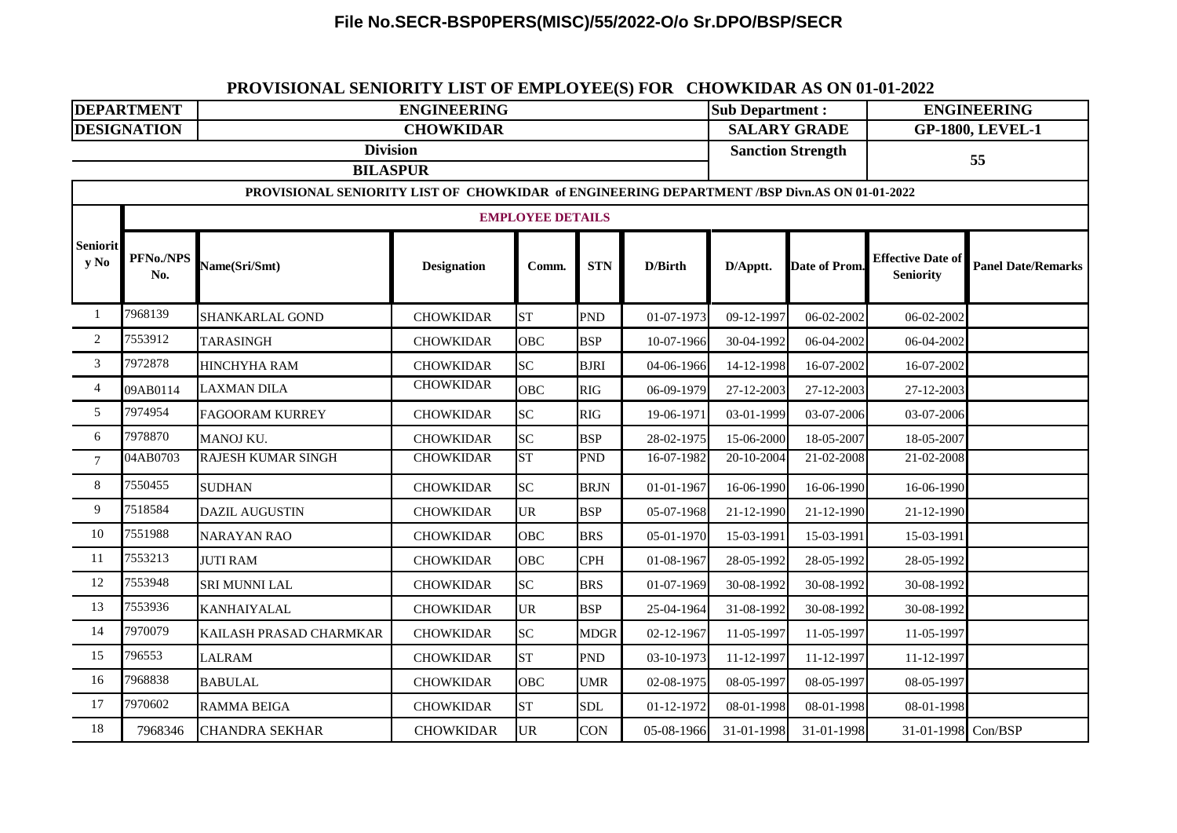### **File No.SECR-BSP0PERS(MISC)/55/2022-O/o Sr.DPO/BSP/SECR**

# **DEPARTMENT Sub Department : ENGINEERING ENGINEERING DESIGNATION** 1 7968139 SHANKARLAL GOND CHOWKIDAR ST PND 01-07-1973 09-12-1997 06-02-2002 06-02-2002 2 7553912 TARASINGH CHOWKIDAR OBC BSP 10-07-1966 30-04-1992 06-04-2002 06-04-2002 3 7972878 HINCHYHA RAM CHOWKIDAR SC BJRI 04-06-1966 14-12-1998 16-07-2002 16-07-2002 4 09AB0114 LAXMAN DILA CHOWKIDAR OBC RIG 06-09-1979 27-12-2003 27-12-2003 27-12-2003 5 7974954 FAGOORAM KURREY CHOWKIDAR SC RIG 19-06-1971 03-01-1999 03-07-2006 03-07-2006 6 7978870 MANOJ KU. CHOWKIDAR SC BSP 28-02-1975 15-06-2000 18-05-2007 18-05-2007 7 04AB0703 RAJESH KUMAR SINGH CHOWKIDAR ST PND 16-07-1982 20-10-2004 21-02-2008 21-02-2008 8 7550455 SUDHAN CHOWKIDAR SC BRJN 01-01-1967 16-06-1990 16-06-1990 16-06-1990 9 7518584 DAZIL AUGUSTIN CHOWKIDAR UR BSP 05-07-1968 21-12-1990 21-12-1990 21-12-1990 10 7551988 NARAYAN RAO CHOWKIDAR OBC BRS 05-01-1970 15-03-1991 15-03-1991 15-03-1991 11 7553213 JUTI RAM CHOWKIDAR OBC CPH 01-08-1967 28-05-1992 28-05-1992 28-05-1992 12 7553948 SRI MUNNI LAL CHOWKIDAR SC BRS 01-07-1969 30-08-1992 30-08-1992 30-08-1992 13 7553936 KANHAIYALAL CHOWKIDAR UR BSP 25-04-1964 31-08-1992 30-08-1992 30-08-1992 14 7970079 KAILASH PRASAD CHARMKAR CHOWKIDAR SC MDGR 02-12-1967 11-05-1997 11-05-1997 11-05-1997 15 796553 LALRAM CHOWKIDAR ST PND 03-10-1973 11-12-1997 11-12-1997 11-12-1997 16 7968838 BABULAL CHOWKIDAR OBC UMR 02-08-1975 08-05-1997 08-05-1997 08-05-1997 17 7970602 RAMMA BEIGA CHOWKIDAR ST SDL 01-12-1972 08-01-1998 08-01-1998 08-01-1998 18 7968346 CHANDRA SEKHAR CHOWKIDAR UR CON 05-08-1966 31-01-1998 31-01-1998 31-01-1998 Con/BSP **CHOWKIDAR SALARY GRADE GP-1800, LEVEL-1 Division Sanction Strength <sup>55</sup> BILASPUR PROVISIONAL SENIORITY LIST OF CHOWKIDAR of ENGINEERING DEPARTMENT /BSP Divn.AS ON 01-01-2022 Seniorit y No EMPLOYEE DETAILS PFNo./NPS Name(Sri/Smt) Designation Comm. STN D/Birth D/Apptt. Date of Prom. Effective Date of** Panel Date/Remarks **Seniority**

#### **PROVISIONAL SENIORITY LIST OF EMPLOYEE(S) FOR CHOWKIDAR AS ON 01-01-2022**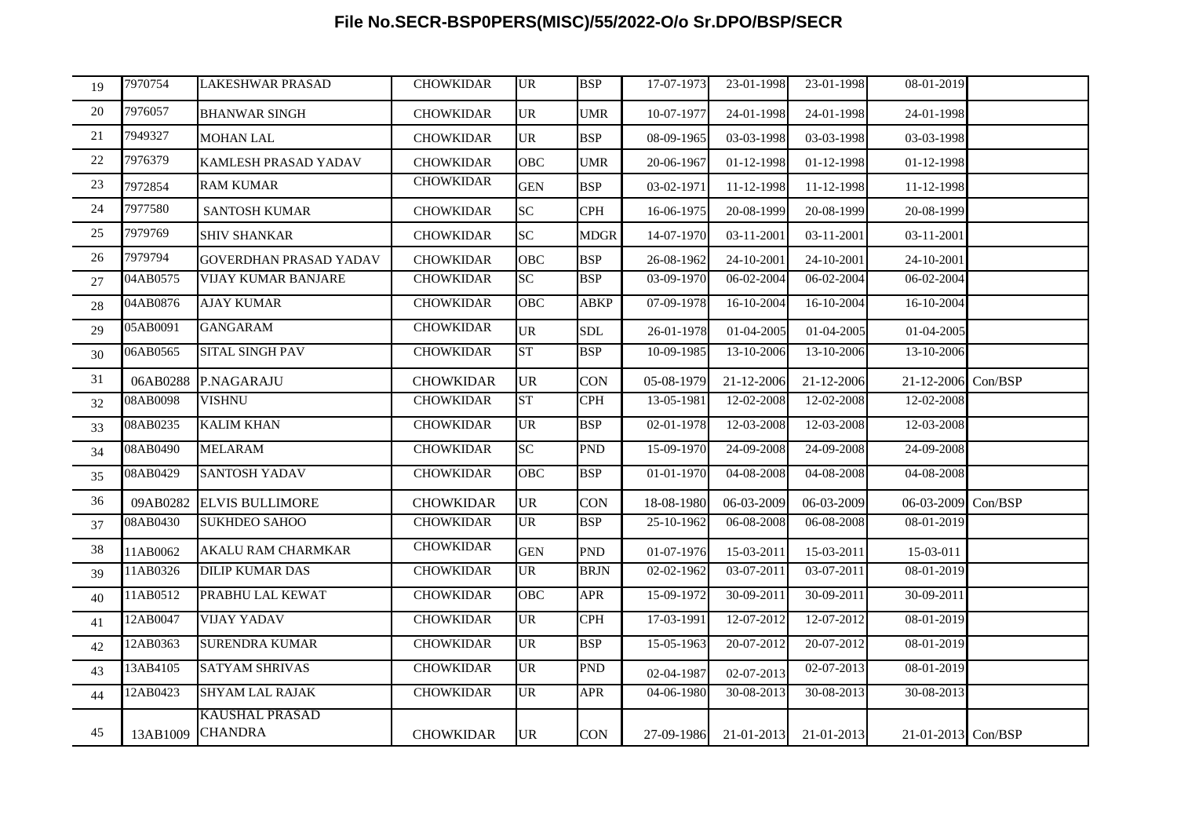# **File No.SECR-BSP0PERS(MISC)/55/2022-O/o Sr.DPO/BSP/SECR**

| 19 | 7970754  | <b>LAKESHWAR PRASAD</b>                 | <b>CHOWKIDAR</b> | <b>UR</b>  | <b>BSP</b>  | 17-07-1973   | 23-01-1998            | 23-01-1998   | 08-01-2019         |  |
|----|----------|-----------------------------------------|------------------|------------|-------------|--------------|-----------------------|--------------|--------------------|--|
| 20 | 7976057  | <b>BHANWAR SINGH</b>                    | <b>CHOWKIDAR</b> | <b>UR</b>  | <b>UMR</b>  | 10-07-1977   | 24-01-1998            | 24-01-1998   | 24-01-1998         |  |
| 21 | 7949327  | <b>MOHAN LAL</b>                        | <b>CHOWKIDAR</b> | <b>UR</b>  | <b>BSP</b>  | 08-09-1965   | 03-03-1998            | 03-03-1998   | 03-03-1998         |  |
| 22 | 7976379  | <b>KAMLESH PRASAD YADAV</b>             | <b>CHOWKIDAR</b> | <b>OBC</b> | <b>UMR</b>  | 20-06-1967   | 01-12-1998            | 01-12-1998   | 01-12-1998         |  |
| 23 | 7972854  | <b>RAM KUMAR</b>                        | <b>CHOWKIDAR</b> | <b>GEN</b> | <b>BSP</b>  | 03-02-1971   | 11-12-1998            | 11-12-1998   | 11-12-1998         |  |
| 24 | 7977580  | <b>SANTOSH KUMAR</b>                    | <b>CHOWKIDAR</b> | <b>SC</b>  | <b>CPH</b>  | 16-06-1975   | 20-08-1999            | 20-08-1999   | 20-08-1999         |  |
| 25 | 7979769  | <b>SHIV SHANKAR</b>                     | <b>CHOWKIDAR</b> | <b>SC</b>  | <b>MDGR</b> | 14-07-1970   | 03-11-2001            | 03-11-2001   | 03-11-2001         |  |
| 26 | 7979794  | <b>GOVERDHAN PRASAD YADAV</b>           | <b>CHOWKIDAR</b> | <b>OBC</b> | <b>BSP</b>  | 26-08-1962   | 24-10-2001            | 24-10-2001   | 24-10-2001         |  |
| 27 | 04AB0575 | <b>VIJAY KUMAR BANJARE</b>              | <b>CHOWKIDAR</b> | SC         | <b>BSP</b>  | 03-09-1970   | 06-02-2004            | 06-02-2004   | 06-02-2004         |  |
| 28 | 04AB0876 | <b>AJAY KUMAR</b>                       | <b>CHOWKIDAR</b> | <b>OBC</b> | ABKP        | 07-09-1978   | 16-10-2004            | 16-10-2004   | 16-10-2004         |  |
| 29 | 05AB0091 | <b>GANGARAM</b>                         | <b>CHOWKIDAR</b> | <b>UR</b>  | <b>SDL</b>  | 26-01-1978   | 01-04-2005            | 01-04-2005   | 01-04-2005         |  |
| 30 | 06AB0565 | <b>SITAL SINGH PAV</b>                  | <b>CHOWKIDAR</b> | ST         | <b>BSP</b>  | 10-09-1985   | 13-10-2006            | 13-10-2006   | 13-10-2006         |  |
| 31 | 06AB0288 | P.NAGARAJU                              | <b>CHOWKIDAR</b> | UR         | <b>CON</b>  | 05-08-1979   | 21-12-2006            | 21-12-2006   | 21-12-2006 Con/BSP |  |
| 32 | 08AB0098 | <b>VISHNU</b>                           | <b>CHOWKIDAR</b> | ST         | <b>CPH</b>  | 13-05-1981   | 12-02-2008            | 12-02-2008   | 12-02-2008         |  |
| 33 | 08AB0235 | <b>KALIM KHAN</b>                       | <b>CHOWKIDAR</b> | <b>UR</b>  | <b>BSP</b>  | 02-01-1978   | 12-03-2008            | 12-03-2008   | 12-03-2008         |  |
| 34 | 08AB0490 | <b>MELARAM</b>                          | <b>CHOWKIDAR</b> | SC         | <b>PND</b>  | 15-09-1970   | 24-09-2008            | $24-09-2008$ | 24-09-2008         |  |
| 35 | 08AB0429 | <b>SANTOSH YADAV</b>                    | <b>CHOWKIDAR</b> | OBC        | <b>BSP</b>  | $01-01-1970$ | 04-08-2008            | 04-08-2008   | 04-08-2008         |  |
| 36 | 09AB0282 | <b>ELVIS BULLIMORE</b>                  | <b>CHOWKIDAR</b> | <b>UR</b>  | <b>CON</b>  | 18-08-1980   | 06-03-2009            | 06-03-2009   | 06-03-2009 Con/BSP |  |
| 37 | 08AB0430 | <b>SUKHDEO SAHOO</b>                    | <b>CHOWKIDAR</b> | <b>UR</b>  | <b>BSP</b>  | 25-10-1962   | 06-08-2008            | 06-08-2008   | 08-01-2019         |  |
| 38 | 11AB0062 | AKALU RAM CHARMKAR                      | <b>CHOWKIDAR</b> | <b>GEN</b> | <b>PND</b>  | 01-07-1976   | 15-03-2011            | 15-03-2011   | 15-03-011          |  |
| 39 | 11AB0326 | <b>DILIP KUMAR DAS</b>                  | <b>CHOWKIDAR</b> | <b>UR</b>  | <b>BRJN</b> | 02-02-1962   | 03-07-2011            | 03-07-2011   | 08-01-2019         |  |
| 40 | 11AB0512 | PRABHU LAL KEWAT                        | <b>CHOWKIDAR</b> | <b>OBC</b> | <b>APR</b>  | 15-09-1972   | 30-09-2011            | 30-09-2011   | 30-09-2011         |  |
| 41 | 12AB0047 | <b>VIJAY YADAV</b>                      | <b>CHOWKIDAR</b> | UR         | <b>CPH</b>  | 17-03-1991   | 12-07-2012            | 12-07-2012   | 08-01-2019         |  |
| 42 | 12AB0363 | <b>SURENDRA KUMAR</b>                   | <b>CHOWKIDAR</b> | <b>UR</b>  | <b>BSP</b>  | 15-05-1963   | 20-07-2012            | $20-07-2012$ | 08-01-2019         |  |
| 43 | 13AB4105 | <b>SATYAM SHRIVAS</b>                   | <b>CHOWKIDAR</b> | <b>UR</b>  | <b>PND</b>  | 02-04-1987   | 02-07-2013            | 02-07-2013   | 08-01-2019         |  |
| 44 | 12AB0423 | <b>SHYAM LAL RAJAK</b>                  | <b>CHOWKIDAR</b> | <b>UR</b>  | <b>APR</b>  | 04-06-1980   | 30-08-2013            | 30-08-2013   | 30-08-2013         |  |
| 45 | 13AB1009 | <b>KAUSHAL PRASAD</b><br><b>CHANDRA</b> | <b>CHOWKIDAR</b> | UR         | <b>CON</b>  |              | 27-09-1986 21-01-2013 | 21-01-2013   | 21-01-2013 Con/BSP |  |